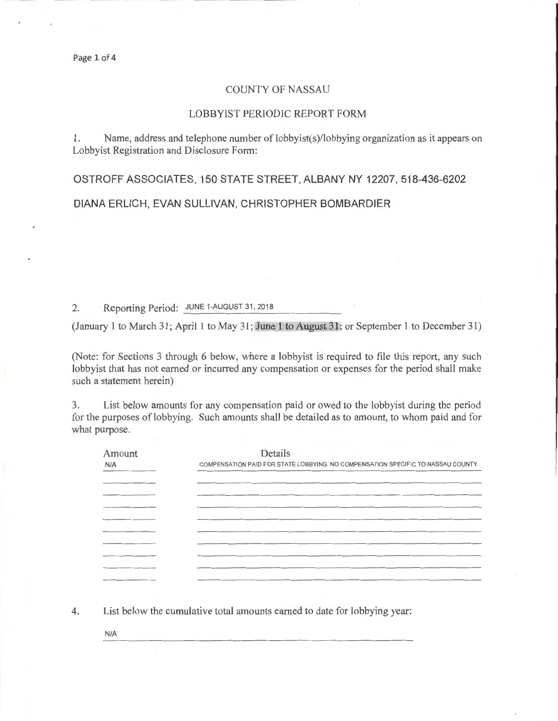## COUNTY OF NASSAU

## LOBBYIST PERIODIC REPORT FORM

1. Name, address and telephone number of lobbyist(s)/lobbying organization as it appears on Lobbyist Registration and Disclosure Form:

OSTROFF ASSOCIATES, 150 STATE STREET, ALBANY NY 12207,518-436-6202

## DIANA ERLICH, EVAN SULLIVAN, CHRISTOPHER BOMBARDIER

2. Reporting Period: JUNE 1-AUGUST 31, 2018

(January 1 to March 31; Apri l 1 to May 31; June 1 to August 31; or September 1 to December 31)

(Note: for Sections 3 through 6 below, where a lobbyist is required to file this report, any such lobbyist that has not earned or incurred any compensation or expenses for the period shall make such a statement herein)

3. List below amounts for any compensation paid or owed to the lobbyist during the period for the purposes of lobbying. Such amounts shall be detailed as to amount, to whom paid and for what purpose.

| Amount | Details                                                                          |  |  |  |
|--------|----------------------------------------------------------------------------------|--|--|--|
| N/A    | COMPENSATION PAID FOR STATE LOBBYING. NO COMPENSATION SPECIFIC TO NASSAU COUNTY. |  |  |  |
|        |                                                                                  |  |  |  |
|        |                                                                                  |  |  |  |
|        |                                                                                  |  |  |  |
|        |                                                                                  |  |  |  |
|        |                                                                                  |  |  |  |
|        |                                                                                  |  |  |  |
|        |                                                                                  |  |  |  |
|        |                                                                                  |  |  |  |
|        |                                                                                  |  |  |  |
|        |                                                                                  |  |  |  |

4. List below the cumulative total amounts earned to date for lobbying year:

N/A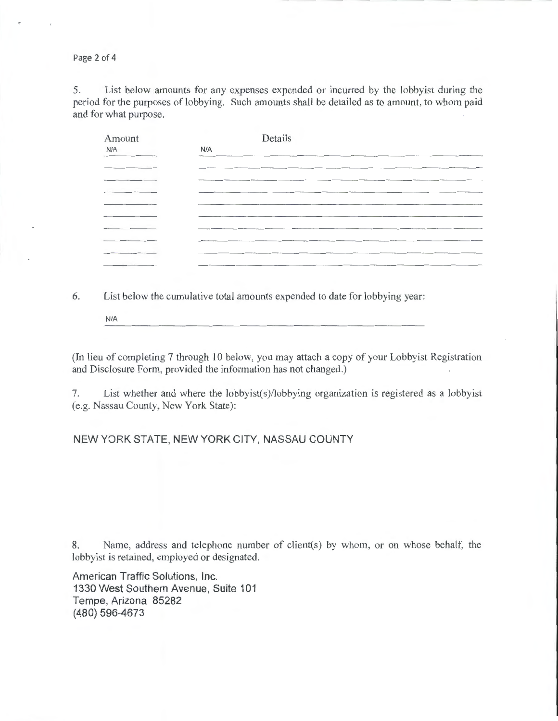Page 2 of 4

5. List below amounts for any expenses expended or incurred by the lobbyist during the period for the purposes of lobbying. Such amounts shall be detailed as to amount, to whom paid and for what purpose.

| Amount | Details |  |  |
|--------|---------|--|--|
| N/A    | N/A     |  |  |
|        |         |  |  |
|        |         |  |  |
|        |         |  |  |
|        |         |  |  |
|        |         |  |  |
|        |         |  |  |
|        |         |  |  |
|        |         |  |  |
|        |         |  |  |

6. List below the cumulative total amounts expended to date for lobbying year:

N/A

(In lieu of completing 7 through 10 below, you may attach a copy of your Lobbyist Registration and Disclosure Form, provided the information has not changed.)

7. List whether and where the lobbyist(s)/lobbying organization is registered as a lobbyist (e.g. Nassau County, New York State):

## NEW YORK STATE, NEW YORK CITY, NASSAU COUNTY

8. Name, address and telephone number of client(s) by whom, or on whose behalf, the lobbyist is retained, employed or designated.

American Traffic Solutions, Inc. 1330 West Southern Avenue, Suite 101 Tempe, Arizona 85282 (480) 596-4673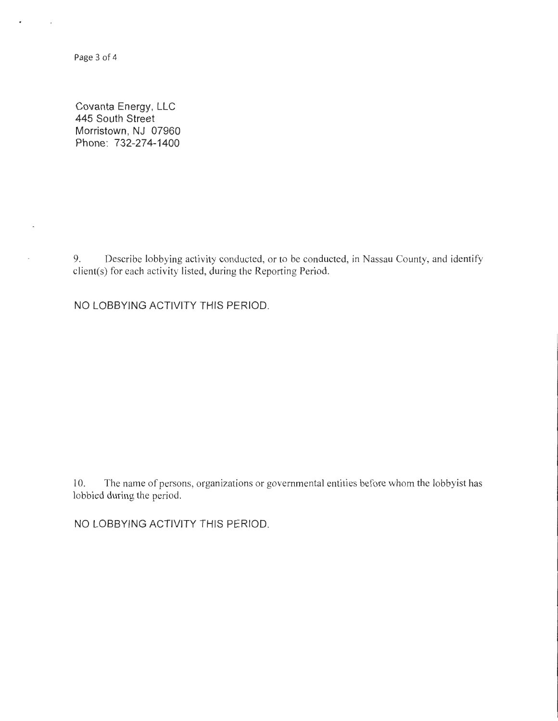Page 3 of 4

 $\bar{\phantom{a}}$ 

Covanta Energy, LLC 445 South Street Morristown, NJ 07960 Phone: 732-274-1400

9. Describe lobbying activity conducted, or to be conducted, in Nassau County, and identify client(s) for each activity listed, during the Reporting Period.

NO LOBBYING ACTIVITY THIS PERIOD.

10. The name of persons, organizations or governmental entities before whom the lobbyist has lobbied during the period.

NO LOBBYING ACTIVITY THIS PERIOD.